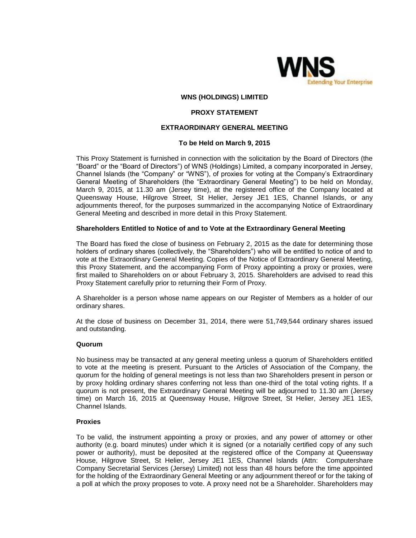

### **WNS (HOLDINGS) LIMITED**

### **PROXY STATEMENT**

## **EXTRAORDINARY GENERAL MEETING**

### **To be Held on March 9, 2015**

This Proxy Statement is furnished in connection with the solicitation by the Board of Directors (the "Board" or the "Board of Directors") of WNS (Holdings) Limited, a company incorporated in Jersey, Channel Islands (the "Company" or "WNS"), of proxies for voting at the Company's Extraordinary General Meeting of Shareholders (the "Extraordinary General Meeting") to be held on Monday, March 9, 2015, at 11.30 am (Jersey time), at the registered office of the Company located at Queensway House, Hilgrove Street, St Helier, Jersey JE1 1ES, Channel Islands, or any adjournments thereof, for the purposes summarized in the accompanying Notice of Extraordinary General Meeting and described in more detail in this Proxy Statement.

### **Shareholders Entitled to Notice of and to Vote at the Extraordinary General Meeting**

The Board has fixed the close of business on February 2, 2015 as the date for determining those holders of ordinary shares (collectively, the "Shareholders") who will be entitled to notice of and to vote at the Extraordinary General Meeting. Copies of the Notice of Extraordinary General Meeting, this Proxy Statement, and the accompanying Form of Proxy appointing a proxy or proxies, were first mailed to Shareholders on or about February 3, 2015. Shareholders are advised to read this Proxy Statement carefully prior to returning their Form of Proxy.

A Shareholder is a person whose name appears on our Register of Members as a holder of our ordinary shares.

At the close of business on December 31, 2014, there were 51,749,544 ordinary shares issued and outstanding.

#### **Quorum**

No business may be transacted at any general meeting unless a quorum of Shareholders entitled to vote at the meeting is present. Pursuant to the Articles of Association of the Company, the quorum for the holding of general meetings is not less than two Shareholders present in person or by proxy holding ordinary shares conferring not less than one-third of the total voting rights. If a quorum is not present, the Extraordinary General Meeting will be adjourned to 11.30 am (Jersey time) on March 16, 2015 at Queensway House, Hilgrove Street, St Helier, Jersey JE1 1ES, Channel Islands.

### **Proxies**

To be valid, the instrument appointing a proxy or proxies, and any power of attorney or other authority (e.g. board minutes) under which it is signed (or a notarially certified copy of any such power or authority), must be deposited at the registered office of the Company at Queensway House, Hilgrove Street, St Helier, Jersey JE1 1ES, Channel Islands (Attn: Computershare Company Secretarial Services (Jersey) Limited) not less than 48 hours before the time appointed for the holding of the Extraordinary General Meeting or any adjournment thereof or for the taking of a poll at which the proxy proposes to vote. A proxy need not be a Shareholder. Shareholders may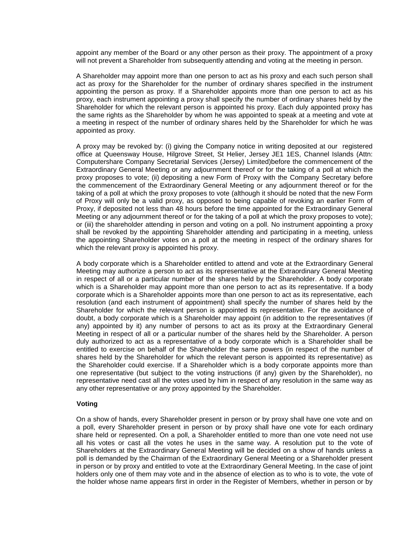appoint any member of the Board or any other person as their proxy. The appointment of a proxy will not prevent a Shareholder from subsequently attending and voting at the meeting in person.

A Shareholder may appoint more than one person to act as his proxy and each such person shall act as proxy for the Shareholder for the number of ordinary shares specified in the instrument appointing the person as proxy. If a Shareholder appoints more than one person to act as his proxy, each instrument appointing a proxy shall specify the number of ordinary shares held by the Shareholder for which the relevant person is appointed his proxy. Each duly appointed proxy has the same rights as the Shareholder by whom he was appointed to speak at a meeting and vote at a meeting in respect of the number of ordinary shares held by the Shareholder for which he was appointed as proxy.

A proxy may be revoked by: (i) giving the Company notice in writing deposited at our registered office at Queensway House, Hilgrove Street, St Helier, Jersey JE1 1ES, Channel Islands (Attn: Computershare Company Secretarial Services (Jersey) Limited)before the commencement of the Extraordinary General Meeting or any adjournment thereof or for the taking of a poll at which the proxy proposes to vote; (ii) depositing a new Form of Proxy with the Company Secretary before the commencement of the Extraordinary General Meeting or any adjournment thereof or for the taking of a poll at which the proxy proposes to vote (although it should be noted that the new Form of Proxy will only be a valid proxy, as opposed to being capable of revoking an earlier Form of Proxy, if deposited not less than 48 hours before the time appointed for the Extraordinary General Meeting or any adjournment thereof or for the taking of a poll at which the proxy proposes to vote); or (iii) the shareholder attending in person and voting on a poll. No instrument appointing a proxy shall be revoked by the appointing Shareholder attending and participating in a meeting, unless the appointing Shareholder votes on a poll at the meeting in respect of the ordinary shares for which the relevant proxy is appointed his proxy.

A body corporate which is a Shareholder entitled to attend and vote at the Extraordinary General Meeting may authorize a person to act as its representative at the Extraordinary General Meeting in respect of all or a particular number of the shares held by the Shareholder. A body corporate which is a Shareholder may appoint more than one person to act as its representative. If a body corporate which is a Shareholder appoints more than one person to act as its representative, each resolution (and each instrument of appointment) shall specify the number of shares held by the Shareholder for which the relevant person is appointed its representative. For the avoidance of doubt, a body corporate which is a Shareholder may appoint (in addition to the representatives (if any) appointed by it) any number of persons to act as its proxy at the Extraordinary General Meeting in respect of all or a particular number of the shares held by the Shareholder. A person duly authorized to act as a representative of a body corporate which is a Shareholder shall be entitled to exercise on behalf of the Shareholder the same powers (in respect of the number of shares held by the Shareholder for which the relevant person is appointed its representative) as the Shareholder could exercise. If a Shareholder which is a body corporate appoints more than one representative (but subject to the voting instructions (if any) given by the Shareholder), no representative need cast all the votes used by him in respect of any resolution in the same way as any other representative or any proxy appointed by the Shareholder.

### **Voting**

On a show of hands, every Shareholder present in person or by proxy shall have one vote and on a poll, every Shareholder present in person or by proxy shall have one vote for each ordinary share held or represented. On a poll, a Shareholder entitled to more than one vote need not use all his votes or cast all the votes he uses in the same way. A resolution put to the vote of Shareholders at the Extraordinary General Meeting will be decided on a show of hands unless a poll is demanded by the Chairman of the Extraordinary General Meeting or a Shareholder present in person or by proxy and entitled to vote at the Extraordinary General Meeting. In the case of joint holders only one of them may vote and in the absence of election as to who is to vote, the vote of the holder whose name appears first in order in the Register of Members, whether in person or by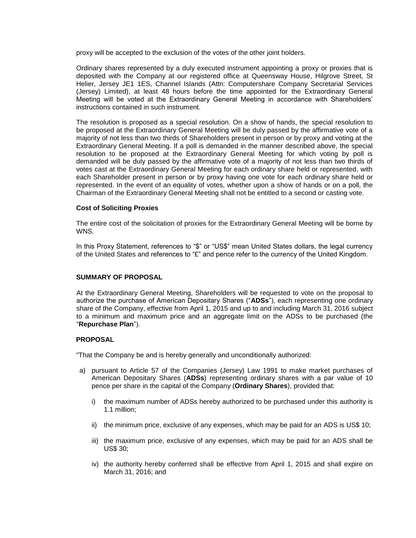proxy will be accepted to the exclusion of the votes of the other joint holders.

Ordinary shares represented by a duly executed instrument appointing a proxy or proxies that is deposited with the Company at our registered office at Queensway House, Hilgrove Street, St Helier, Jersey JE1 1ES, Channel Islands (Attn: Computershare Company Secretarial Services (Jersey) Limited), at least 48 hours before the time appointed for the Extraordinary General Meeting will be voted at the Extraordinary General Meeting in accordance with Shareholders' instructions contained in such instrument.

The resolution is proposed as a special resolution. On a show of hands, the special resolution to be proposed at the Extraordinary General Meeting will be duly passed by the affirmative vote of a majority of not less than two thirds of Shareholders present in person or by proxy and voting at the Extraordinary General Meeting. If a poll is demanded in the manner described above, the special resolution to be proposed at the Extraordinary General Meeting for which voting by poll is demanded will be duly passed by the affirmative vote of a majority of not less than two thirds of votes cast at the Extraordinary General Meeting for each ordinary share held or represented, with each Shareholder present in person or by proxy having one vote for each ordinary share held or represented. In the event of an equality of votes, whether upon a show of hands or on a poll, the Chairman of the Extraordinary General Meeting shall not be entitled to a second or casting vote.

## **Cost of Soliciting Proxies**

The entire cost of the solicitation of proxies for the Extraordinary General Meeting will be borne by WNS.

In this Proxy Statement, references to "\$" or "US\$" mean United States dollars, the legal currency of the United States and references to "£" and pence refer to the currency of the United Kingdom.

## **SUMMARY OF PROPOSAL**

At the Extraordinary General Meeting, Shareholders will be requested to vote on the proposal to authorize the purchase of American Depositary Shares ("**ADSs**"), each representing one ordinary share of the Company, effective from April 1, 2015 and up to and including March 31, 2016 subject to a minimum and maximum price and an aggregate limit on the ADSs to be purchased (the "**Repurchase Plan**").

# **PROPOSAL**

"That the Company be and is hereby generally and unconditionally authorized:

- a) pursuant to Article 57 of the Companies (Jersey) Law 1991 to make market purchases of American Depositary Shares (**ADSs**) representing ordinary shares with a par value of 10 pence per share in the capital of the Company (**Ordinary Shares**), provided that:
	- i) the maximum number of ADSs hereby authorized to be purchased under this authority is 1.1 million;
	- ii) the minimum price, exclusive of any expenses, which may be paid for an ADS is US\$ 10;
	- iii) the maximum price, exclusive of any expenses, which may be paid for an ADS shall be US\$ 30;
	- iv) the authority hereby conferred shall be effective from April 1, 2015 and shall expire on March 31, 2016; and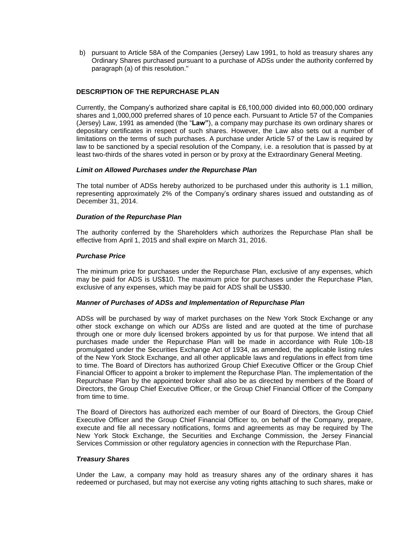b) pursuant to Article 58A of the Companies (Jersey) Law 1991, to hold as treasury shares any Ordinary Shares purchased pursuant to a purchase of ADSs under the authority conferred by paragraph (a) of this resolution."

# **DESCRIPTION OF THE REPURCHASE PLAN**

Currently, the Company's authorized share capital is £6,100,000 divided into 60,000,000 ordinary shares and 1,000,000 preferred shares of 10 pence each. Pursuant to Article 57 of the Companies (Jersey) Law, 1991 as amended (the "**Law"**), a company may purchase its own ordinary shares or depositary certificates in respect of such shares. However, the Law also sets out a number of limitations on the terms of such purchases. A purchase under Article 57 of the Law is required by law to be sanctioned by a special resolution of the Company, i.e. a resolution that is passed by at least two-thirds of the shares voted in person or by proxy at the Extraordinary General Meeting.

# *Limit on Allowed Purchases under the Repurchase Plan*

The total number of ADSs hereby authorized to be purchased under this authority is 1.1 million, representing approximately 2% of the Company's ordinary shares issued and outstanding as of December 31, 2014.

# *Duration of the Repurchase Plan*

The authority conferred by the Shareholders which authorizes the Repurchase Plan shall be effective from April 1, 2015 and shall expire on March 31, 2016.

# *Purchase Price*

The minimum price for purchases under the Repurchase Plan, exclusive of any expenses, which may be paid for ADS is US\$10. The maximum price for purchases under the Repurchase Plan, exclusive of any expenses, which may be paid for ADS shall be US\$30.

## *Manner of Purchases of ADSs and Implementation of Repurchase Plan*

ADSs will be purchased by way of market purchases on the New York Stock Exchange or any other stock exchange on which our ADSs are listed and are quoted at the time of purchase through one or more duly licensed brokers appointed by us for that purpose. We intend that all purchases made under the Repurchase Plan will be made in accordance with Rule 10b-18 promulgated under the Securities Exchange Act of 1934, as amended, the applicable listing rules of the New York Stock Exchange, and all other applicable laws and regulations in effect from time to time. The Board of Directors has authorized Group Chief Executive Officer or the Group Chief Financial Officer to appoint a broker to implement the Repurchase Plan. The implementation of the Repurchase Plan by the appointed broker shall also be as directed by members of the Board of Directors, the Group Chief Executive Officer, or the Group Chief Financial Officer of the Company from time to time.

The Board of Directors has authorized each member of our Board of Directors, the Group Chief Executive Officer and the Group Chief Financial Officer to, on behalf of the Company, prepare, execute and file all necessary notifications, forms and agreements as may be required by The New York Stock Exchange, the Securities and Exchange Commission, the Jersey Financial Services Commission or other regulatory agencies in connection with the Repurchase Plan.

## *Treasury Shares*

Under the Law, a company may hold as treasury shares any of the ordinary shares it has redeemed or purchased, but may not exercise any voting rights attaching to such shares, make or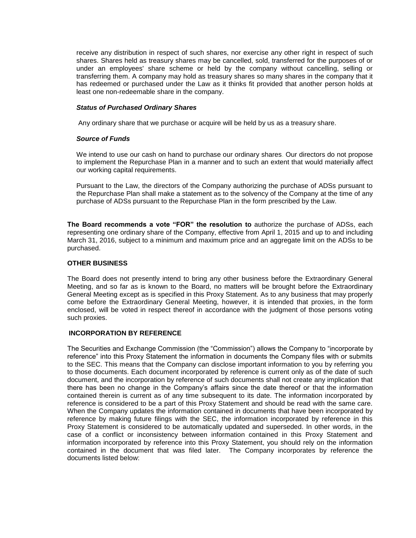receive any distribution in respect of such shares, nor exercise any other right in respect of such shares. Shares held as treasury shares may be cancelled, sold, transferred for the purposes of or under an employees' share scheme or held by the company without cancelling, selling or transferring them. A company may hold as treasury shares so many shares in the company that it has redeemed or purchased under the Law as it thinks fit provided that another person holds at least one non-redeemable share in the company.

## *Status of Purchased Ordinary Shares*

Any ordinary share that we purchase or acquire will be held by us as a treasury share.

# *Source of Funds*

We intend to use our cash on hand to purchase our ordinary shares. Our directors do not propose to implement the Repurchase Plan in a manner and to such an extent that would materially affect our working capital requirements.

Pursuant to the Law, the directors of the Company authorizing the purchase of ADSs pursuant to the Repurchase Plan shall make a statement as to the solvency of the Company at the time of any purchase of ADSs pursuant to the Repurchase Plan in the form prescribed by the Law.

**The Board recommends a vote "FOR" the resolution to** authorize the purchase of ADSs, each representing one ordinary share of the Company, effective from April 1, 2015 and up to and including March 31, 2016, subject to a minimum and maximum price and an aggregate limit on the ADSs to be purchased.

# **OTHER BUSINESS**

The Board does not presently intend to bring any other business before the Extraordinary General Meeting, and so far as is known to the Board, no matters will be brought before the Extraordinary General Meeting except as is specified in this Proxy Statement. As to any business that may properly come before the Extraordinary General Meeting, however, it is intended that proxies, in the form enclosed, will be voted in respect thereof in accordance with the judgment of those persons voting such proxies.

## **INCORPORATION BY REFERENCE**

The Securities and Exchange Commission (the "Commission") allows the Company to "incorporate by reference" into this Proxy Statement the information in documents the Company files with or submits to the SEC. This means that the Company can disclose important information to you by referring you to those documents. Each document incorporated by reference is current only as of the date of such document, and the incorporation by reference of such documents shall not create any implication that there has been no change in the Company's affairs since the date thereof or that the information contained therein is current as of any time subsequent to its date. The information incorporated by reference is considered to be a part of this Proxy Statement and should be read with the same care. When the Company updates the information contained in documents that have been incorporated by reference by making future filings with the SEC, the information incorporated by reference in this Proxy Statement is considered to be automatically updated and superseded. In other words, in the case of a conflict or inconsistency between information contained in this Proxy Statement and information incorporated by reference into this Proxy Statement, you should rely on the information contained in the document that was filed later. The Company incorporates by reference the documents listed below: